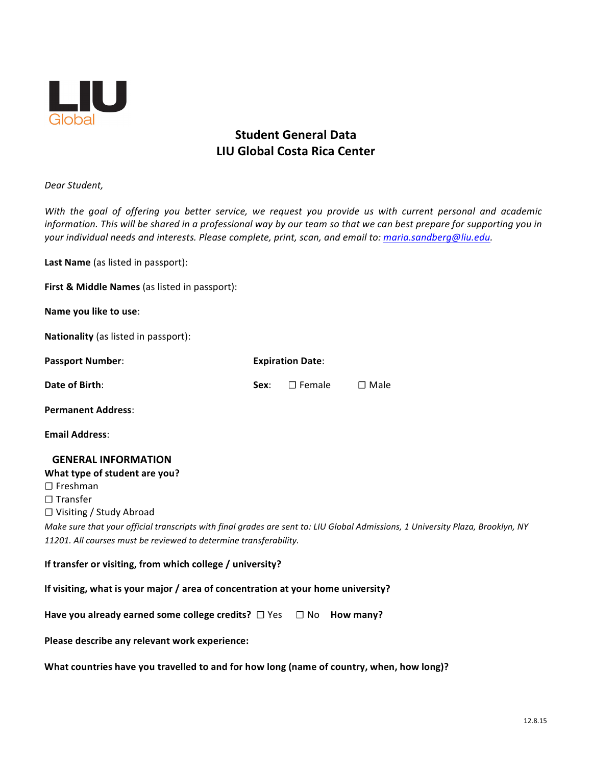

# **Student General Data LIU Global Costa Rica Center**

*Dear Student,*

With the goal of offering you better service, we request you provide us with current personal and academic information. This will be shared in a professional way by our team so that we can best prepare for supporting you in *your individual needs and interests. Please complete, print, scan, and email to: maria.sandberg@liu.edu.*

**Last Name** (as listed in passport):

**First & Middle Names** (as listed in passport):

**Name you like to use:** 

**Nationality** (as listed in passport):

| <b>Passport Number:</b>   | <b>Expiration Date:</b> |                           |             |
|---------------------------|-------------------------|---------------------------|-------------|
| Date of Birth:            |                         | <b>Sex:</b> $\Box$ Female | $\Box$ Male |
| <b>Permanent Address:</b> |                         |                           |             |
| <b>Email Address:</b>     |                         |                           |             |

#### **GENERAL INFORMATION**

**What type of student are you? ☐** Freshman **☐** Transfer **☐** Visiting / Study Abroad *Make sure that your official transcripts with final grades are sent to: LIU Global Admissions, 1 University Plaza, Brooklyn, NY* 11201. All courses must be reviewed to determine transferability.

# **If** transfer or visiting, from which college / university?

#### **If** visiting, what is your major / area of concentration at your home university?

| Have you already earned some college credits? $\Box$ Yes $\Box$ No How many? |  |  |
|------------------------------------------------------------------------------|--|--|
|------------------------------------------------------------------------------|--|--|

**Please describe any relevant work experience:**

**What countries have you travelled to and for how long (name of country, when, how long)?**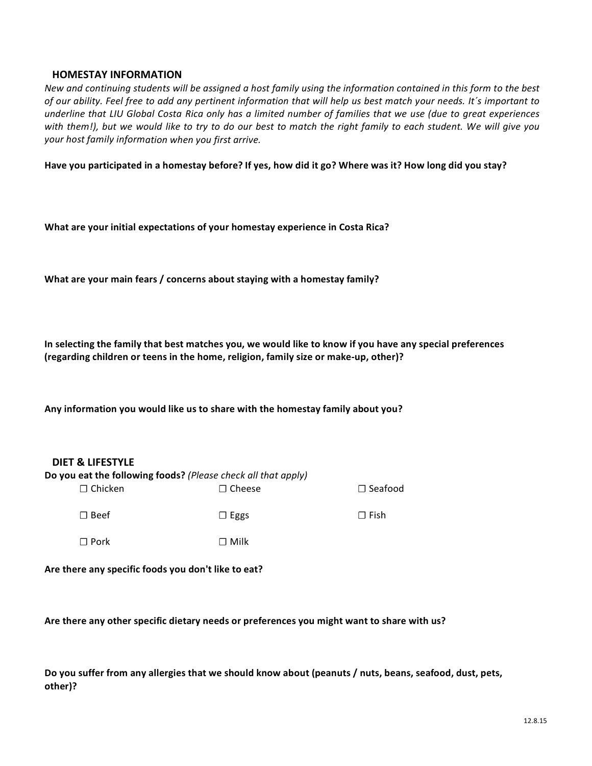### **HOMESTAY INFORMATION**

*New and continuing students will be assigned a host family using the information contained in this form to the best of our ability. Feel free to add any pertinent information that will help us best match your needs. It´s important to* underline that LIU Global Costa Rica only has a limited number of families that we use (due to great experiences with them!), but we would like to try to do our best to match the right family to each student. We will give you *your host family information when you first arrive.*

**Have you participated in a homestay before? If yes, how did it go? Where was it? How long did you stay?**

**What** are your initial expectations of your homestay experience in Costa Rica?

**What are your main fears / concerns about staying with a homestay family?**

**In selecting the family that best matches you, we would like to know if you have any special preferences (regarding children or teens in the home, religion, family size or make-up, other)?**

**Any information you would like us to share with the homestay family about you?**

## **DIET & LIFESTYLE**

| Do you eat the following foods? (Please check all that apply) |                 |                |  |  |
|---------------------------------------------------------------|-----------------|----------------|--|--|
| $\Box$ Chicken                                                | $\sqcap$ Cheese | $\Box$ Seafood |  |  |
| $\Box$ Beef                                                   | $\Box$ Eggs     | $\sqcap$ Fish  |  |  |
| $\Box$ Pork                                                   | $\sqcap$ Milk   |                |  |  |

**Are there any specific foods you don't like to eat?**

**Are there any other specific dietary needs or preferences you might want to share with us?**

**Do you suffer from any allergies that we should know about (peanuts / nuts, beans, seafood, dust, pets, other)?**